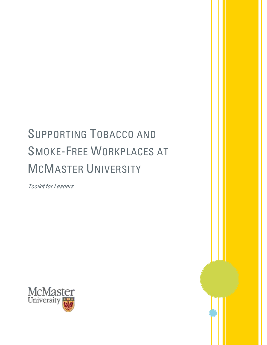# SUPPORTING TOBACCO AND SMOKE-FREE WORKPLACES AT MCMASTER UNIVERSITY

Toolkit for Leaders

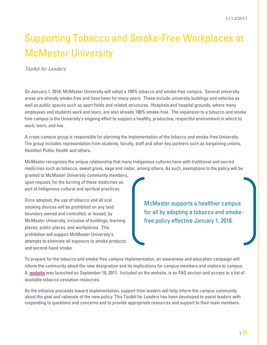## Supporting Tobacco and Smoke-Free Workplaces at McMaster University

Toolkit for Leaders

On January 1, 2018, McMaster University will adopt a 100% tobacco and smoke-free campus. Several university areas are already smoke-free and have been for many years. These include university buildings and vehicles as well as public spaces such as sport fields and related structures. Hospitals and hospital grounds, where many employees and students work and learn, are also already 100% smoke-free. The expansion to a tobacco and smoke free campus is the University's ongoing effort to support a healthy, productive, respectful environment in which to work, learn, and live.

A cross-campus group is responsible for planning the implementation of the tobacco and smoke-free University. The group includes representation from students, faculty, staff and other key partners such as bargaining unions, Hamilton Public Health and others.

McMaster recognizes the unique relationship that many Indigenous cultures have with traditional and sacred medicines such as tobacco, sweet grass, sage and cedar, among others. As such, exemptions to the policy will be

granted to McMaster University community members, upon request, for the burning of these medicines as part of Indigenous cultural and spiritual practices.

Once adopted, the use of tobacco and all oral smoking devices will be prohibited on any land boundary owned and controlled, or leased, by McMaster University, inclusive of buildings, learning places, public places, and workplaces. This prohibition will support McMaster University's attempts to eliminate all exposure to smoke products and second-hand smoke.

McMaster supports a healthier campus for all by adopting a tobacco and smokefree policy effective January 1, 2018.

To prepare for the tobacco and smoke-free campus implementation, an awareness and education campaign will inform the community about the new designation and its implications for campus members and visitors to campus. A [website](http://dailynews.mcmaster.ca/smoke-free-campus/) was launched on September 18, 2017. Included on the website, is an FAQ section and access to a list of available tobacco cessation resources.

As the initiative proceeds toward implementation, support from leaders will help inform the campus community about the goal and rationale of the new policy. This Toolkit for Leaders has been developed to assist leaders with responding to questions and concerns and to provide appropriate resources and support to their team members.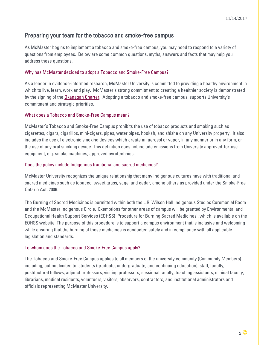### Preparing your team for the tobacco and smoke-free campus

As McMaster begins to implement a tobacco and smoke-free campus, you may need to respond to a variety of questions from employees. Below are some common questions, myths, answers and facts that may help you address these questions.

#### Why has McMaster decided to adopt a Tobacco and Smoke-Free Campus?

As a leader in evidence-informed research, McMaster University is committed to providing a healthy environment in which to live, learn, work and play. McMaster's strong commitment to creating a healthier society is demonstrated by the signing of th[e Okanagan Charter.](http://internationalhealthycampuses2015.sites.olt.ubc.ca/files/2016/01/Okanagan-Charter-January13v2.pdf) Adopting a tobacco and smoke-free campus, supports University's commitment and strategic priorities.

#### What does a Tobacco and Smoke-Free Campus mean?

McMaster's Tobacco and Smoke-Free Campus prohibits the use of tobacco products and smoking such as cigarettes, cigars, cigarillos, mini-cigars, pipes, water pipes, hookah, and shisha on any University property. It also includes the use of electronic smoking devices which create an aerosol or vapor, in any manner or in any form, or the use of any oral smoking device. This definition does not include emissions from University approved-for-use equipment, e.g. smoke machines, approved pyrotechnics.

#### Does the policy include Indigenous traditional and sacred medicines?

McMaster University recognizes the unique relationship that many Indigenous cultures have with traditional and sacred medicines such as tobacco, sweet grass, sage, and cedar, among others as provided under the Smoke-Free Ontario Act, 2006.

The Burning of Sacred Medicines is permitted within both the L.R. Wilson Hall Indigenous Studies Ceremonial Room and the McMaster Indigenous Circle. Exemptions for other areas of campus will be granted by Environmental and Occupational Health Support Services (EOHSS) 'Procedure for Burning Sacred Medicines', which is available on the EOHSS website. The purpose of this procedure is to support a campus environment that is inclusive and welcoming while ensuring that the burning of these medicines is conducted safely and in compliance with all applicable legislation and standards.

### To whom does the Tobacco and Smoke-Free Campus apply?

The Tobacco and Smoke-Free Campus applies to all members of the university community (Community Members) including, but not limited to: students (graduate, undergraduate, and continuing education), staff, faculty, postdoctoral fellows, adjunct professors, visiting professors, sessional faculty, teaching assistants, clinical faculty, librarians, medical residents, volunteers, visitors, observers, contractors, and institutional administrators and officials representing McMaster University.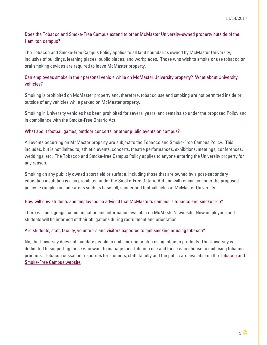### Does the Tobacco and Smoke-Free Campus extend to other McMaster University-owned property outside of the Hamilton campus?

The Tobacco and Smoke-Free Campus Policy applies to all land boundaries owned by McMaster University, inclusive of buildings, learning places, public places, and workplaces. Those who wish to smoke or use tobacco or oral smoking devices are required to leave McMaster property.

#### Can employees smoke in their personal vehicle while on McMaster University property? What about University vehicles?

Smoking is prohibited on McMaster property and, therefore, tobacco use and smoking are not permitted inside or outside of any vehicles while parked on McMaster property.

Smoking in University vehicles has been prohibited for several years, and remains so under the proposed Policy and in compliance with the Smoke-Free Ontario Act.

#### What about football games, outdoor concerts, or other public events on campus?

All events occurring on McMaster property are subject to the Tobacco and Smoke-Free Campus Policy. This includes, but is not limited to, athletic events, concerts, theatre performances, exhibitions, meetings, conferences, weddings, etc. The Tobacco and Smoke-free Campus Policy applies to anyone entering the University property for any reason.

Smoking on any publicly owned sport field or surface, including those that are owned by a post-secondary education institution is also prohibited under the Smoke-Free Ontario Act and will remain so under the proposed policy. Examples include areas such as baseball, soccer and football fields at McMaster University.

#### How will new students and employees be advised that McMaster's campus is tobacco and smoke free?

There will be signage, communication and information available on McMaster's website. New employees and students will be informed of their obligations during recruitment and orientation.

#### Are students, staff, faculty, volunteers and visitors expected to quit smoking or using tobacco?

No, the University does not mandate people to quit smoking or stop using tobacco products. The University is dedicated to supporting those who want to manage their tobacco use and those who choose to quit using tobacco products. Tobacco cessation resources for students, staff, faculty and the public are available on th[e Tobacco and](http://dailynews.mcmaster.ca/smoke-free-campus/)  [Smoke-Free Campus website.](http://dailynews.mcmaster.ca/smoke-free-campus/)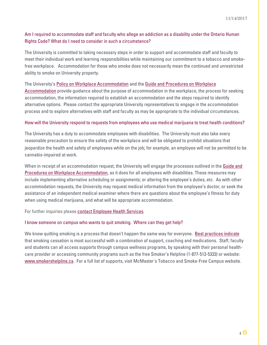### Am I required to accommodate staff and faculty who allege an addiction as a disability under the Ontario Human Rights Code? What do I need to consider in such a circumstance?

The University is committed to taking necessary steps in order to support and accommodate staff and faculty to meet their individual work and learning responsibilities while maintaining our commitment to a tobacco and smokefree workplace. Accommodation for those who smoke does not necessarily mean the continued and unrestricted ability to smoke on University property.

#### The University's [Policy on Workplace Accommodation](http://www.workingatmcmaster.ca/med/document/WorkplaceAccommodationPolicy-2015-1-48.pdf) and the [Guide and Procedures on Workplace](http://www.mcmaster.ca/policy/Employee/WorkplaceAccommodationGuide-Procedures-2015.pdf)

[Accommodation](http://www.mcmaster.ca/policy/Employee/WorkplaceAccommodationGuide-Procedures-2015.pdf) provide guidance about the purpose of accommodation in the workplace, the process for seeking accommodation, the information required to establish an accommodation and the steps required to identify alternative options. Please contact the appropriate University representatives to engage in the accommodation process and to explore alternatives with staff and faculty as may be appropriate to the individual circumstances.

#### How will the University respond to requests from employees who use medical marijuana to treat health conditions?

The University has a duty to accommodate employees with disabilities. The University must also take every reasonable precaution to ensure the safety of the workplace and will be obligated to prohibit situations that jeopardize the health and safety of employees while on the job; for example, an employee will not be permitted to be cannabis-impaired at work.

When in receipt of an accommodation request, the University will engage the processes outlined in the [Guide and](http://www.mcmaster.ca/policy/Employee/WorkplaceAccommodationGuide-Procedures-2015.pdf)  [Procedures on Workplace Accommodation,](http://www.mcmaster.ca/policy/Employee/WorkplaceAccommodationGuide-Procedures-2015.pdf) as it does for all employees with disabilities. These measures may include implementing alternative scheduling or assignments; or altering the employee's duties, etc. As with other accommodation requests, the University may request medical information from the employee's doctor, or seek the assistance of an independent medical examiner where there are questions about the employee's fitness for duty when using medical marijuana, and what will be appropriate accommodation.

For further inquiries pleas[e contact Employee Health Services.](http://www.workingatmcmaster.ca/elr/contacts/)

#### I know someone on campus who wants to quit smoking. Where can they get help?

We know quitting smoking is a process that doesn't happen the same way for everyone. [Best practices indicate](https://www.nicotinedependenceclinic.com/English/CANADAPTT/Documents/CAN-ADAPTT%20Canadian%20Smoking%20Cessation%20Guideline_website.pdf) that smoking cessation is most successful with a combination of support, coaching and medications. Staff, faculty and students can all access supports through campus wellness programs, by speaking with their personal healthcare provider or accessing community programs such as the free Smoker's Helpline (1-877-513-5333) or website: [www.smokershelpline.ca.](http://www.smokershelpline.ca/) For a full list of supports, visit McMaster's Tobacco and Smoke-Free Campus website.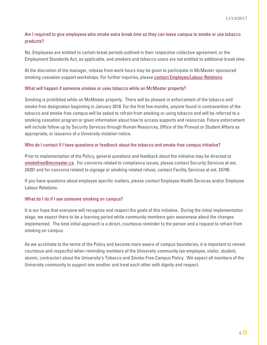### Am I required to give employees who smoke extra break time so they can leave campus to smoke or use tobacco products?

No. Employees are entitled to certain break periods outlined in their respective collective agreement, or the Employment Standards Act, as applicable, and smokers and tobacco-users are not entitled to additional break time.

At the discretion of the manager, release from work hours may be given to participate in McMaster-sponsored smoking cessation support workshops. For further inquiries, please [contact Employee/Labour Relations.](http://www.workingatmcmaster.ca/elr/contacts/)

#### What will happen if someone smokes or uses tobacco while on McMaster property?

Smoking is prohibited while on McMaster property. There will be phased-in enforcement of the tobacco and smoke-free designation beginning in January 2018. For the first few months, anyone found in contravention of the tobacco and smoke-free campus will be asked to refrain from smoking or using tobacco and will be referred to a smoking cessation program or given information about how to access supports and resources. Future enforcement will include follow up by Security Services through Human Resources, Office of the Provost or Student Affairs as appropriate, or issuance of a University violation notice.

#### Who do I contact if I have questions or feedback about the tobacco and smoke-free campus initiative?

Prior to implementation of the Policy, general questions and feedback about the initiative may be directed to [smokefree@mcmaster.ca.](mailto:smokefree@mcmaster.ca) For concerns related to compliance issues, please contact Security Services at ext. 24281 and for concerns related to signage or smoking-related refuse, contact Facility Services at ext. 24740.

If you have questions about employee specific matters, please contact Employee Health Services and/or Employee Labour Relations.

### What do I do if I see someone smoking on campus?

It is our hope that everyone will recognize and respect the goals of this initiative. During the initial implementation stage, we expect there to be a learning period while community members gain awareness about the changes implemented. The best initial approach is a direct, courteous reminder to the person and a request to refrain from smoking on campus.

As we acclimate to the terms of the Policy and become more aware of campus boundaries, it is important to remain courteous and respectful when reminding members of the University community (an employee, visitor, student, alumni, contractor) about the University's Tobacco and Smoke-Free Campus Policy. We expect all members of the University community to support one another and treat each other with dignity and respect.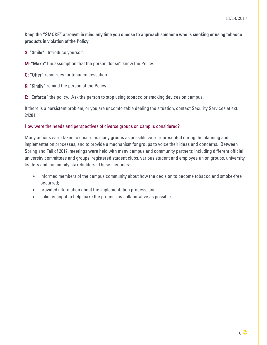### Keep the "SMOKE" acronym in mind any time you choose to approach someone who is smoking or using tobacco products in violation of the Policy.

S: "Smile". Introduce yourself.

M: "Make" the assumption that the person doesn't know the Policy.

O: "Offer" resources for tobacco cessation.

K: "Kindly" remind the person of the Policy.

E: "Enforce" the policy. Ask the person to stop using tobacco or smoking devices on campus.

If there is a persistent problem, or you are uncomfortable dealing the situation, contact Security Services at ext. 24281.

#### How were the needs and perspectives of diverse groups on campus considered?

Many actions were taken to ensure as many groups as possible were represented during the planning and implementation processes, and to provide a mechanism for groups to voice their ideas and concerns. Between Spring and Fall of 2017, meetings were held with many campus and community partners; including different official university committees and groups, registered student clubs, various student and employee union groups, university leaders and community stakeholders. These meetings:

- informed members of the campus community about how the decision to become tobacco and smoke-free occurred;
- provided information about the implementation process; and,
- solicited input to help make the process as collaborative as possible.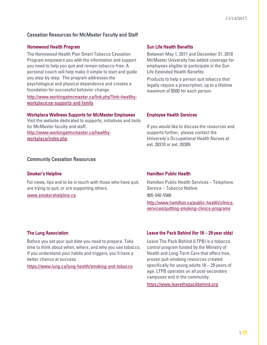### Cessation Resources for McMaster Faculty and Staff

#### Homewood Health Program Sun Life Health Benefits

The Homewood Health Plan Smart Tobacco Cessation Program empowers you with the information and support you need to help you quit and remain tobacco-free. A personal coach will help make it simple to start and guide you step-by-step. The program addresses the psychological and physical dependence and creates a foundation for successful behavior change.

[http://www.workingatmcmaster.ca/link.php?link=healthy](http://www.workingatmcmaster.ca/link.php?link=healthy-workplace:ee-supports-and-family)[workplace:ee-supports-and-family](http://www.workingatmcmaster.ca/link.php?link=healthy-workplace:ee-supports-and-family)

#### Workplace Wellness Supports for McMaster Employees

Visit the website dedicated to supports, initiatives and tools for McMaster faculty and staff. [http://www.workingatmcmaster.ca/healthy](http://www.workingatmcmaster.ca/healthy-workplace/index.php)[workplace/index.php](http://www.workingatmcmaster.ca/healthy-workplace/index.php) 

#### Community Cessation Resources

For news, tips and to be in touch with those who have quit, are trying to quit, or are supporting others.

[www.smokershelpline.ca](http://www.smokershelpline.ca/) 

Between May 1, 2017 and December 31, 2018 McMaster University has added coverage for employees eligible to participate in the Sun Life Extended Health Benefits:

Products to help a person quit tobacco that legally require a prescription, up to a lifetime maximum of \$500 for each person.

#### Employee Health Services

If you would like to discuss the resources and supports further, please contact the University's Occupational Health Nurses at ext. 20310 or ext. 20309.

#### Smoker's Helpline **Hamilton Public Health**

Hamilton Public Health Services – Telephone Service – Tobacco Hotline 905-540-5566 [http://www.hamilton.ca/public-health/clinics](http://www.hamilton.ca/public-health/clinics-services/quitting-smoking-clinics-programs)[services/quitting-smoking-clinics-programs](http://www.hamilton.ca/public-health/clinics-services/quitting-smoking-clinics-programs)

Before you set your quit date you need to prepare. Take time to think about when, where, and why you use tobacco. If you understand your habits and triggers, you'll have a better chance at success.

<https://www.lung.ca/lung-health/smoking-and-tobacco>

#### The Lung Association Leave the Pack Behind (for 18 – 29 year olds)

Leave The Pack Behind (LTPB) is a tobacco control program funded by the Ministry of Health and Long-Term Care that offers free, proven quit-smoking resources created specifically for young adults 18 – 29 years of age. LTPB operates on all post-secondary campuses and in the community.

[https://www.leavethepackbehind.org](https://www.leavethepackbehind.org/)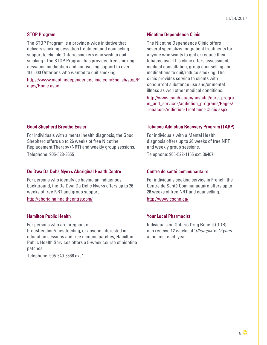The STOP Program is a province-wide initiative that delivers smoking cessation treatment and counseling support to eligible Ontario smokers who wish to quit smoking. The STOP Program has provided free smoking cessation medication and counselling support to over 100,000 Ontarians who wanted to quit smoking.

[https://www.nicotinedependenceclinic.com/English/stop/P](https://www.nicotinedependenceclinic.com/English/stop/Pages/Home.aspx) [ages/Home.aspx](https://www.nicotinedependenceclinic.com/English/stop/Pages/Home.aspx)

For individuals with a mental health diagnosis, the Good Shepherd offers up to 26 weeks of free Nicotine Replacement Therapy (NRT) and weekly group sessions. Telephone: 905-528-3655

#### De Dwa Da Dehs Nye>s Aboriginal Health Centre Centre de santé communautaire

For persons who identify as having an indigenous background, the De Dwa Da Dehs Nye>s offers up to 26 weeks of free NRT and group support.

<http://aboriginalhealthcentre.com/>

### Hamilton Public Health Your Local Pharmacist

For persons who are pregnant or breastfeeding/chestfeeding, or anyone interested in education sessions and free nicotine patches, Hamilton Public Health Services offers a 5-week course of nicotine patches.

Telephone: 905-540-5566 ext.1

#### STOP Program Nicotine Dependence Clinic

The Nicotine Dependence Clinic offers several specialized outpatient treatments for anyone who wants to quit or reduce their tobacco use. This clinic offers assessment, medical consultation, group counselling and medications to quit/reduce smoking. The clinic provides service to clients with concurrent substance use and/or mental illness as well other medical conditions.

[http://www.camh.ca/en/hospital/care\\_progra](http://www.camh.ca/en/hospital/care_program_and_services/addiction_programs/Pages/Tobacco-Addiction-Treatment-Clinic.aspx) m and services/addiction programs/Pages/ [Tobacco-Addiction-Treatment-Clinic.aspx](http://www.camh.ca/en/hospital/care_program_and_services/addiction_programs/Pages/Tobacco-Addiction-Treatment-Clinic.aspx)

#### Good Shepherd Breathe Easier The Contract Contract Contract Contract Tobacco Addiction Recovery Program (TARP)

For individuals with a Mental Health diagnosis offers up to 26 weeks of free NRT and weekly group sessions.

Telephone: 905-522-1155 ext. 36407

For individuals seeking service in French, the Centre de Santé Communautaire offers up to 26 weeks of free NRT and counselling.

<http://www.cschn.ca/>

Individuals on Ontario Drug Benefit (ODB) can receive 12 weeks of 'Champix' or 'Zyban' at no cost each year.